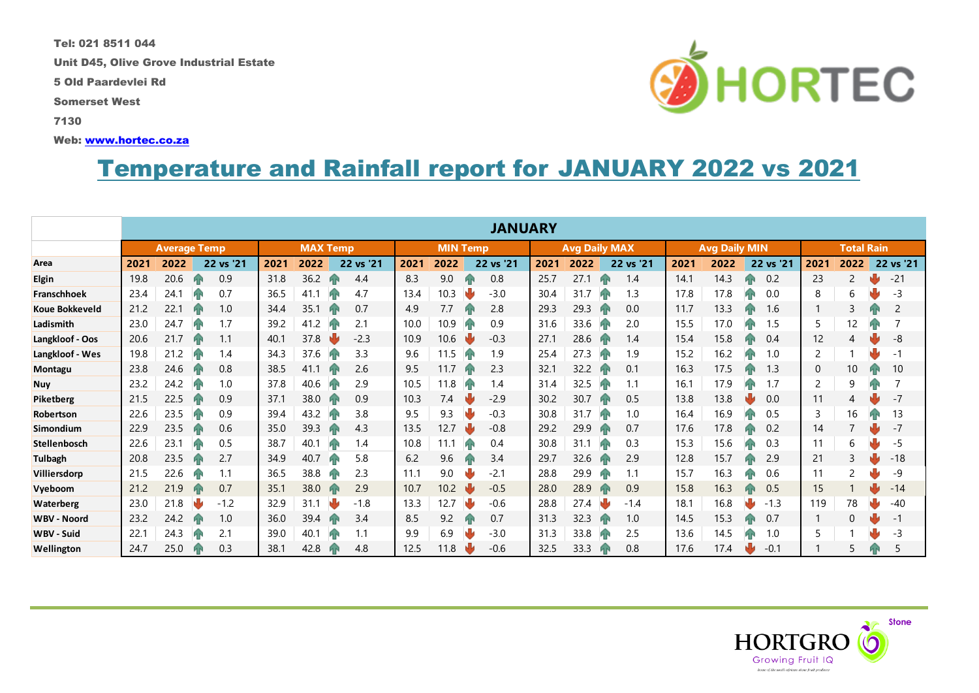Tel: 021 8511 044

Unit D45, Olive Grove Industrial Estate

5 Old Paardevlei Rd

Somerset West

7130

Web: [www.hortec.co.za](http://www.hortec.co.za/)

## Temperature and Rainfall report for JANUARY 2022 vs 2021

|                       | <b>JANUARY</b>      |      |  |           |                 |      |    |                 |      |      |                      |           |      |                      |    |           |                   |      |    |           |      |          |  |           |
|-----------------------|---------------------|------|--|-----------|-----------------|------|----|-----------------|------|------|----------------------|-----------|------|----------------------|----|-----------|-------------------|------|----|-----------|------|----------|--|-----------|
|                       | <b>Average Temp</b> |      |  |           | <b>MAX Temp</b> |      |    | <b>MIN Temp</b> |      |      | <b>Avg Daily MAX</b> |           |      | <b>Avg Daily MIN</b> |    |           | <b>Total Rain</b> |      |    |           |      |          |  |           |
| Area                  | 2021                | 2022 |  | 22 vs '21 | 2021            | 2022 |    | 22 vs '21       | 2021 | 2022 |                      | 22 vs '21 | 2021 | 2022                 |    | 22 vs '21 | 2021              | 2022 |    | 22 vs '21 | 2021 | 2022     |  | 22 vs '21 |
| <b>Elgin</b>          | 19.8                | 20.6 |  | 0.9       | 31.8            | 36.2 |    | 4.4             | 8.3  | 9.0  |                      | 0.8       | 25.7 | 27.1                 | ИВ | 1.4       | 14.1              | 14.3 |    | 0.2       | 23   | 2        |  | $-21$     |
| Franschhoek           | 23.4                | 24.1 |  | 0.7       | 36.5            | 41.1 | Ик | 4.7             | 13.4 | 10.3 |                      | $-3.0$    | 30.4 | 31.7                 |    | 1.3       | 17.8              | 17.8 |    | 0.0       | 8    | 6        |  | $-3$      |
| <b>Koue Bokkeveld</b> | 21.2                | 22.  |  | 1.0       | 34.4            | 35.1 |    | 0.7             | 4.9  | 7.7  |                      | 2.8       | 29.3 | 29.3                 |    | 0.0       | 11.7              | 13.3 |    | 1.6       |      | 3        |  | 2         |
| Ladismith             | 23.0                | 24.7 |  | 1.7       | 39.2            | 41.2 | Иг | 2.1             | 10.0 | 10.9 |                      | 0.9       | 31.6 | 33.6                 |    | 2.0       | 15.5              | 17.0 |    | 1.5       | 5    | 12       |  |           |
| Langkloof - Oos       | 20.6                | 21.7 |  | 1.1       | 40.1            | 37.8 |    | $-2.3$          | 10.9 | 10.6 |                      | $-0.3$    | 27.1 | 28.6                 |    | 1.4       | 15.4              | 15.8 |    | 0.4       | 12   | 4        |  | -8        |
| Langkloof - Wes       | 19.8                | 21.2 |  | 1.4       | 34.3            | 37.6 | ИБ | 3.3             | 9.6  | 11.5 |                      | 1.9       | 25.4 | 27.3                 |    | 1.9       | 15.2              | 16.2 |    | 1.0       | 2    |          |  | $-1$      |
| Montagu               | 23.8                | 24.6 |  | 0.8       | 38.5            | 41.1 |    | 2.6             | 9.5  | 11.7 |                      | 2.3       | 32.1 | 32.2                 |    | 0.1       | 16.3              | 17.5 |    | 1.3       | 0    | 10       |  | 10        |
| <b>Nuy</b>            | 23.2                | 24.2 |  | 1.0       | 37.8            | 40.6 | Ик | 2.9             | 10.5 | 11.8 |                      | 1.4       | 31.4 | 32.5                 |    | 1.1       | 16.1              | 17.9 |    | 1.7       | 2    | 9        |  |           |
| Piketberg             | 21.5                | 22.5 |  | 0.9       | 37.1            | 38.0 |    | 0.9             | 10.3 | 7.4  |                      | $-2.9$    | 30.2 | 30.7                 | ИR | 0.5       | 13.8              | 13.8 |    | 0.0       | 11   | 4        |  | $-7$      |
| Robertson             | 22.6                | 23.5 |  | 0.9       | 39.4            | 43.2 | ИБ | 3.8             | 9.5  | 9.3  |                      | $-0.3$    | 30.8 | 31.7                 |    | 1.0       | 16.4              | 16.9 |    | 0.5       | 3    | 16       |  | 13        |
| Simondium             | 22.9                | 23.5 |  | 0.6       | 35.0            | 39.3 |    | 4.3             | 13.5 | 12.7 |                      | $-0.8$    | 29.2 | 29.9                 |    | 0.7       | 17.6              | 17.8 |    | 0.2       | 14   |          |  | $-7$      |
| <b>Stellenbosch</b>   | 22.6                | 23.1 |  | 0.5       | 38.7            | 40.1 | ИP | 1.4             | 10.8 | 11.1 |                      | 0.4       | 30.8 | 31.1                 | ы  | 0.3       | 15.3              | 15.6 |    | 0.3       | 11   | 6        |  | -5        |
| <b>Tulbagh</b>        | 20.8                | 23.5 |  | 2.7       | 34.9            | 40.7 |    | 5.8             | 6.2  | 9.6  |                      | 3.4       | 29.7 | 32.6                 |    | 2.9       | 12.8              | 15.7 |    | 2.9       | 21   | 3        |  | $-18$     |
| Villiersdorp          | 21.5                | 22.6 |  | 1.1       | 36.5            | 38.8 |    | 2.3             | 11.1 | 9.0  |                      | $-2.1$    | 28.8 | 29.9                 |    | 1.1       | 15.7              | 16.3 |    | 0.6       | 11   | 2        |  | -9        |
| Vyeboom               | 21.2                | 21.9 |  | 0.7       | 35.1            | 38.0 |    | 2.9             | 10.7 | 10.2 |                      | $-0.5$    | 28.0 | 28.9                 |    | 0.9       | 15.8              | 16.3 | Иг | 0.5       | 15   |          |  | $-14$     |
| <b>Waterberg</b>      | 23.0                | 21.8 |  | $-1.2$    | 32.9            | 31.1 |    | $-1.8$          | 13.3 | 12.7 |                      | $-0.6$    | 28.8 | 27.4                 |    | $-1.4$    | 18.1              | 16.8 |    | $-1.3$    | 119  | 78       |  | $-40$     |
| <b>WBV - Noord</b>    | 23.2                | 24.2 |  | 1.0       | 36.0            | 39.4 |    | 3.4             | 8.5  | 9.2  |                      | 0.7       | 31.3 | 32.3                 |    | 1.0       | 14.5              | 15.3 | ЙΝ | 0.7       |      | $\Omega$ |  | $-1$      |
| <b>WBV - Suid</b>     | 22.1                | 24.3 |  | 2.1       | 39.0            | 40.1 | hв | 1.1             | 9.9  | 6.9  |                      | $-3.0$    | 31.3 | 33.8                 |    | 2.5       | 13.6              | 14.5 |    | 1.0       | 5    |          |  | -3        |
| Wellington            | 24.7                | 25.0 |  | 0.3       | 38.1            | 42.8 |    | 4.8             | 12.5 | 11.8 |                      | $-0.6$    | 32.5 | 33.3                 |    | 0.8       | 17.6              | 17.4 |    | $-0.1$    |      |          |  | 5         |



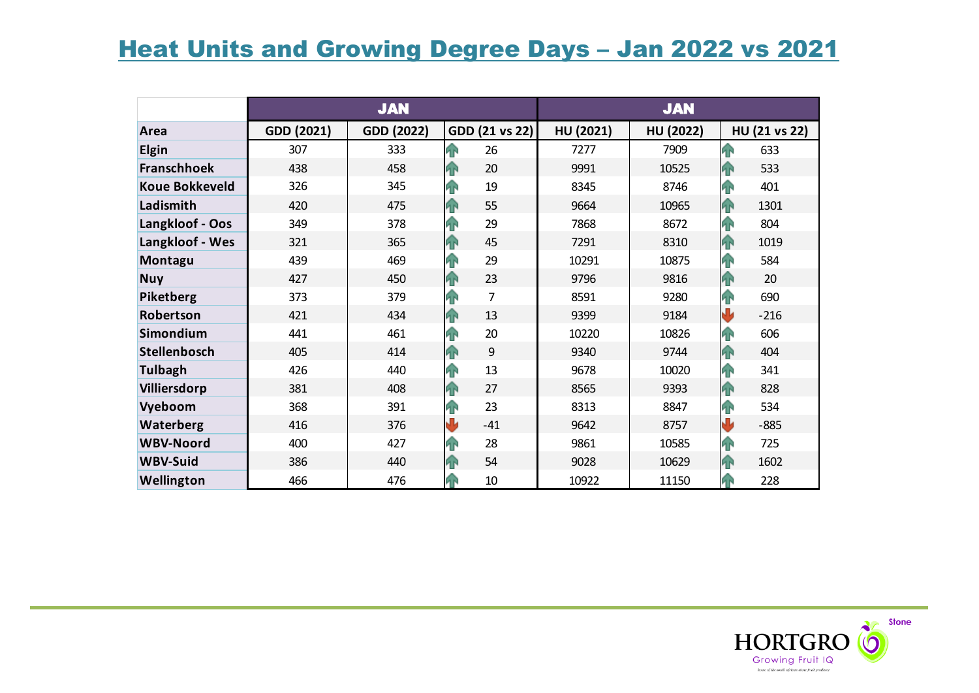## **Heat Units and Growing Degree Days - Jan 2022 vs 2021**

|                       |            | <b>JAN</b> |                 | <b>JAN</b> |           |                          |  |  |  |
|-----------------------|------------|------------|-----------------|------------|-----------|--------------------------|--|--|--|
| Area                  | GDD (2021) | GDD (2022) | GDD (21 vs 22)  | HU (2021)  | HU (2022) | HU (21 vs 22)            |  |  |  |
| <b>Elgin</b>          | 307        | 333        | <b>FR</b><br>26 | 7277       | 7909      | $\hat{P}$<br>633         |  |  |  |
| <b>Franschhoek</b>    | 438        | 458        | 20<br><b>AN</b> | 9991       | 10525     | 533<br>4                 |  |  |  |
| <b>Koue Bokkeveld</b> | 326        | 345        | 19<br>ЙÑ        | 8345       | 8746      | $\mathbf{P}$<br>401      |  |  |  |
| Ladismith             | 420        | 475        | 55<br><b>AN</b> | 9664       | 10965     | 1<br>1301                |  |  |  |
| Langkloof - Oos       | 349        | 378        | 29<br><b>FR</b> | 7868       | 8672      | T<br>804                 |  |  |  |
| Langkloof - Wes       | 321        | 365        | 45<br><b>AN</b> | 7291       | 8310      | 1<br>1019                |  |  |  |
| Montagu               | 439        | 469        | 29<br><b>FR</b> | 10291      | 10875     | 42<br>584                |  |  |  |
| <b>Nuy</b>            | 427        | 450        | 23<br><b>AN</b> | 9796       | 9816      | 4<br>20                  |  |  |  |
| Piketberg             | 373        | 379        | 7<br><b>FR</b>  | 8591       | 9280      | T<br>690                 |  |  |  |
| Robertson             | 421        | 434        | 13<br><b>AN</b> | 9399       | 9184      | $\bf \bm \Psi$<br>$-216$ |  |  |  |
| Simondium             | 441        | 461        | 20<br><b>AR</b> | 10220      | 10826     | $\mathbf{P}$<br>606      |  |  |  |
| Stellenbosch          | 405        | 414        | 9<br><b>AN</b>  | 9340       | 9744      | 4<br>404                 |  |  |  |
| <b>Tulbagh</b>        | 426        | 440        | 13<br>ЙÑ        | 9678       | 10020     | $\mathbf{P}$<br>341      |  |  |  |
| Villiersdorp          | 381        | 408        | 27<br><b>AN</b> | 8565       | 9393      | 4<br>828                 |  |  |  |
| Vyeboom               | 368        | 391        | 23<br><b>FR</b> | 8313       | 8847      | 42<br>534                |  |  |  |
| Waterberg             | 416        | 376        | J<br>$-41$      | 9642       | 8757      | ₩<br>$-885$              |  |  |  |
| <b>WBV-Noord</b>      | 400        | 427        | 28<br>ЯÑ        | 9861       | 10585     | $\mathbf{P}$<br>725      |  |  |  |
| <b>WBV-Suid</b>       | 386        | 440        | 54<br>ИŃ        | 9028       | 10629     | <b>FR</b><br>1602        |  |  |  |
| Wellington            | 466        | 476        | 10              | 10922      | 11150     | 228<br><b>FR</b>         |  |  |  |